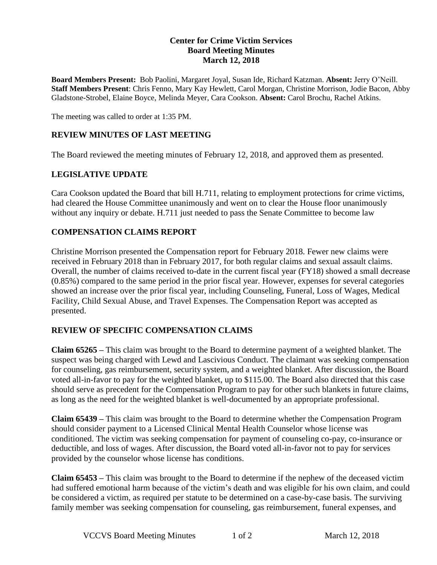## **Center for Crime Victim Services Board Meeting Minutes March 12, 2018**

**Board Members Present:** Bob Paolini, Margaret Joyal, Susan Ide, Richard Katzman. **Absent:** Jerry O'Neill. **Staff Members Present**: Chris Fenno, Mary Kay Hewlett, Carol Morgan, Christine Morrison, Jodie Bacon, Abby Gladstone-Strobel, Elaine Boyce, Melinda Meyer, Cara Cookson. **Absent:** Carol Brochu, Rachel Atkins.

The meeting was called to order at 1:35 PM.

## **REVIEW MINUTES OF LAST MEETING**

The Board reviewed the meeting minutes of February 12, 2018, and approved them as presented.

## **LEGISLATIVE UPDATE**

Cara Cookson updated the Board that bill H.711, relating to employment protections for crime victims, had cleared the House Committee unanimously and went on to clear the House floor unanimously without any inquiry or debate. H.711 just needed to pass the Senate Committee to become law

## **COMPENSATION CLAIMS REPORT**

Christine Morrison presented the Compensation report for February 2018. Fewer new claims were received in February 2018 than in February 2017, for both regular claims and sexual assault claims. Overall, the number of claims received to-date in the current fiscal year (FY18) showed a small decrease (0.85%) compared to the same period in the prior fiscal year. However, expenses for several categories showed an increase over the prior fiscal year, including Counseling, Funeral, Loss of Wages, Medical Facility, Child Sexual Abuse, and Travel Expenses. The Compensation Report was accepted as presented.

## **REVIEW OF SPECIFIC COMPENSATION CLAIMS**

**Claim 65265 –** This claim was brought to the Board to determine payment of a weighted blanket. The suspect was being charged with Lewd and Lascivious Conduct. The claimant was seeking compensation for counseling, gas reimbursement, security system, and a weighted blanket. After discussion, the Board voted all-in-favor to pay for the weighted blanket, up to \$115.00. The Board also directed that this case should serve as precedent for the Compensation Program to pay for other such blankets in future claims, as long as the need for the weighted blanket is well-documented by an appropriate professional.

**Claim 65439 –** This claim was brought to the Board to determine whether the Compensation Program should consider payment to a Licensed Clinical Mental Health Counselor whose license was conditioned. The victim was seeking compensation for payment of counseling co-pay, co-insurance or deductible, and loss of wages. After discussion, the Board voted all-in-favor not to pay for services provided by the counselor whose license has conditions.

**Claim 65453 –** This claim was brought to the Board to determine if the nephew of the deceased victim had suffered emotional harm because of the victim's death and was eligible for his own claim, and could be considered a victim, as required per statute to be determined on a case-by-case basis. The surviving family member was seeking compensation for counseling, gas reimbursement, funeral expenses, and